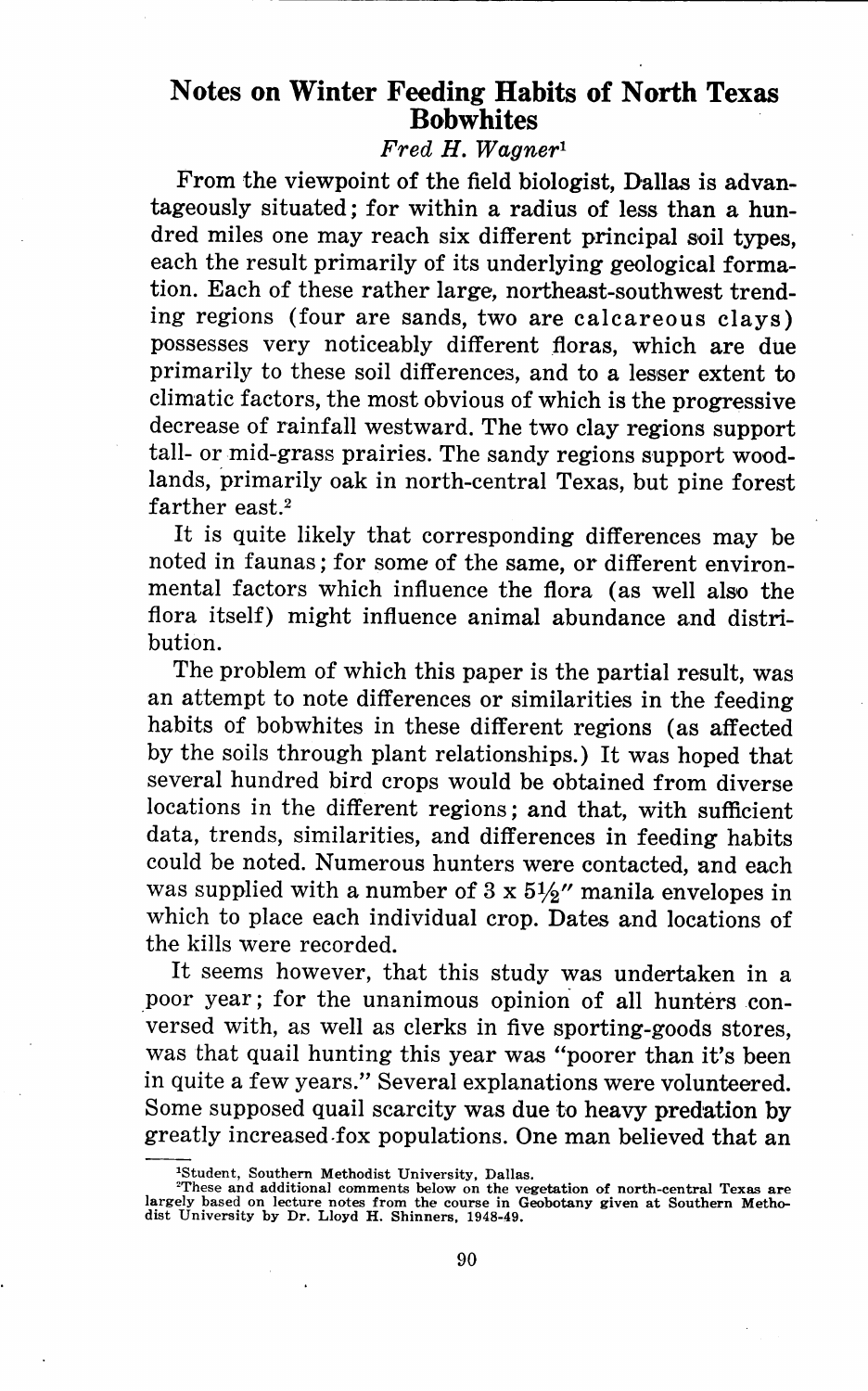# Notes on Winter Feeding Habits of North Texas Bobwhites

*Fred H. Wagner <sup>1</sup>*

From the viewpoint of the field biologist, Dallas is advantageously situated; for within a radius of less than a hundred miles one may reach six different principal soil types, each the result primarily of its underlying geological formation. Each of these rather large, northeast-southwest trending regions (four are sands, two are calcareous clays) possesses very noticeably different \_floras, which are due primarily to these soil differences, and to a lesser extent to climatic factors, the most obvious of which is the progressive decrease of rainfall westward. The two clay regions support tall- or mid-grass prairies. The sandy regions support woodlands, primarily oak in north-central Texas, but pine forest farther east.<sup>2</sup>

It is quite likely that corresponding differences may be noted in faunas; for some of the same, or different environmental factors which influence the flora (as well also the flora itself) might influence animal abundance and distribution.

The problem of which this paper is the partial result, was an attempt to note differences or similarities in the feeding habits of bobwhites in these different regions (as affected by the soils through plant relationships.) It was hoped that several hundred bird crops would be obtained from diverse locations in the different regions; and that, with sufficient data, trends, similarities, and differences in feeding habits could be noted. Numerous hunters were contacted, and each was supplied with a number of  $3 \times 5\frac{1}{2}$ " manila envelopes in which to place each individual crop. Dates and locations of the kills were recorded.

It seems however, that this study was undertaken in a poor year; for the unanimous opinion of all hunters conversed with, as well as clerks in five sporting-goods stores, was that quail hunting this year was "poorer than it's been in quite a few years." Several explanations were volunteered. Some supposed quail scarcity was due to heavy predation by greatly increased-fox populations. One man believed that an

<sup>&#</sup>x27;Student, Southern Methodist University, Dallas.

<sup>&#</sup>x27;These and additional comments below on the vegetation of north-central Texas are largely based on lecture notes from the course in Geobotany given at Southern Methodist University by Dr. Lloyd H. Shinners, 1948-49.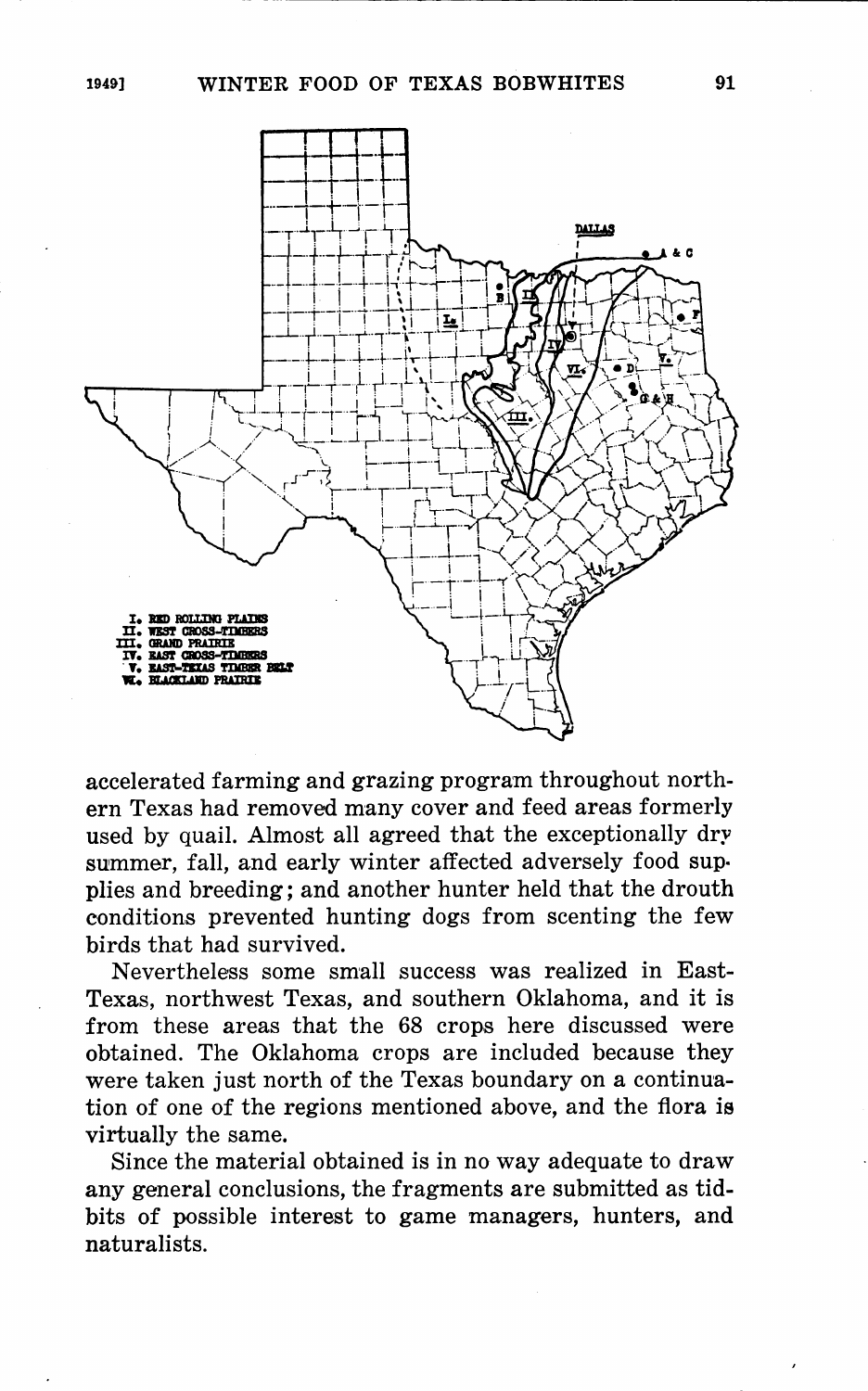

accelerated farming and grazing program throughout northern Texas had removed many cover and feed areas formerly used by quail. Almost all agreed that the exceptionally dry summer, fall, and early winter affected adversely food supplies and breeding; and another hunter held that the drouth conditions prevented hunting dogs from scenting the few birds that had survived.

Nevertheless some small success was realized in East-Texas, northwest Texas, and southern Oklahoma, and it is from these areas that the 68 crops here discussed were obtained. The Oklahoma crops are included because they were taken just north of the Texas boundary on a continuation of one of the regions mentioned above, and the flora is virtually the same.

Since the material obtained is in no way adequate to draw any general conclusions, the fragments are submitted as tidbits of possible interest to game managers, hunters, and naturalists.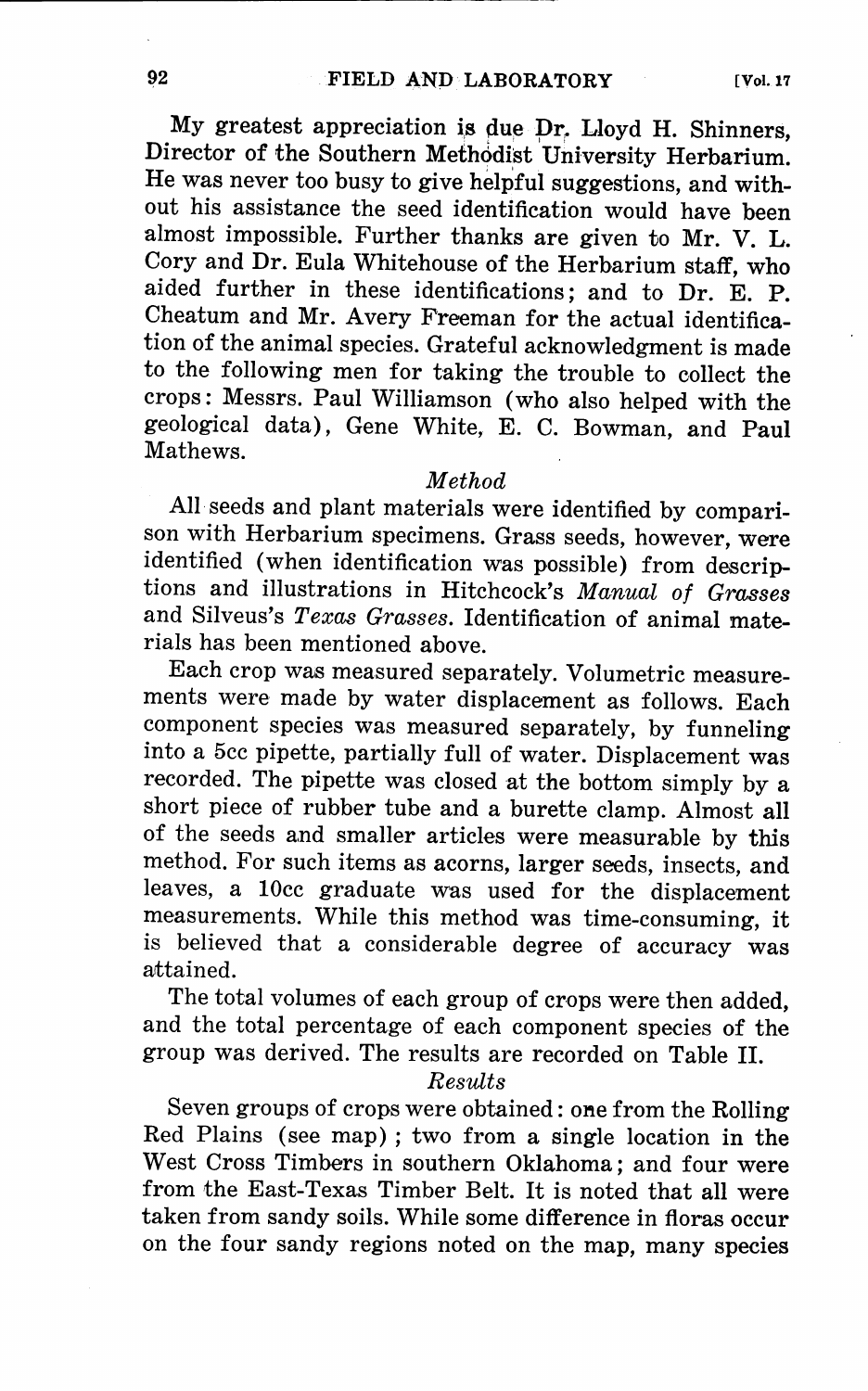My greatest appreciation is due Dr. Lloyd H. Shinners, Director of the Southern Methodist University Herbarium He was never too busy to give helpful suggestions, and without his assistance the seed identification would have been almost impossible. Further thanks are given to Mr. V. L. Cory and Dr. Eula Whitehouse of the Herbarium staff, who aided further in these identifications; and to Dr. E. P. Cheatum and Mr. Avery Freeman for the actual identification of the animal species. Grateful acknowledgment is made to the following men for taking the trouble to collect the crops: Messrs. Paul Williamson (who also helped with the geological data), Gene White, E. C. Bowman, and Paul Mathews.

## *Method*

All· seeds and plant materials were identified by comparison with Herbarium specimens. Grass seeds, however, were identified (when identification was possible) from descriptions and illustrations in Hitchcock's *Manual of Grasses*  and Silveus's *Texas Grasses.* Identification of animal materials has been mentioned above.

Each crop was measured separately. Volumetric measurements were made by water displacement as follows. Each component species was measured separately, by funneling into a 5cc pipette, partially full of water. Displacement was recorded. The pipette was closed at the bottom simply by a short piece of rubber tube and a burette clamp. Almost all of the seeds and smaller articles were measurable by this method. For such items as acorns, larger seeds, insects, and leaves, a 10cc graduate was used for the displacement measurements. While this method was time-consuming, it is believed that a considerable degree of accuracy was attained.

The total volumes of each group of crops were then added, and the total percentage of each component species of the group was derived. The results are recorded on Table II.

### *Results*

Seven groups of crops were obtained: one from the Rolling Red Plains (see map) ; two from a single location in the West Cross Timbers in southern Oklahoma; and four were from the East-Texas Timber Belt. It is noted that all were taken from sandy soils. While some difference in floras occur on the four sandy regions noted on the map, many species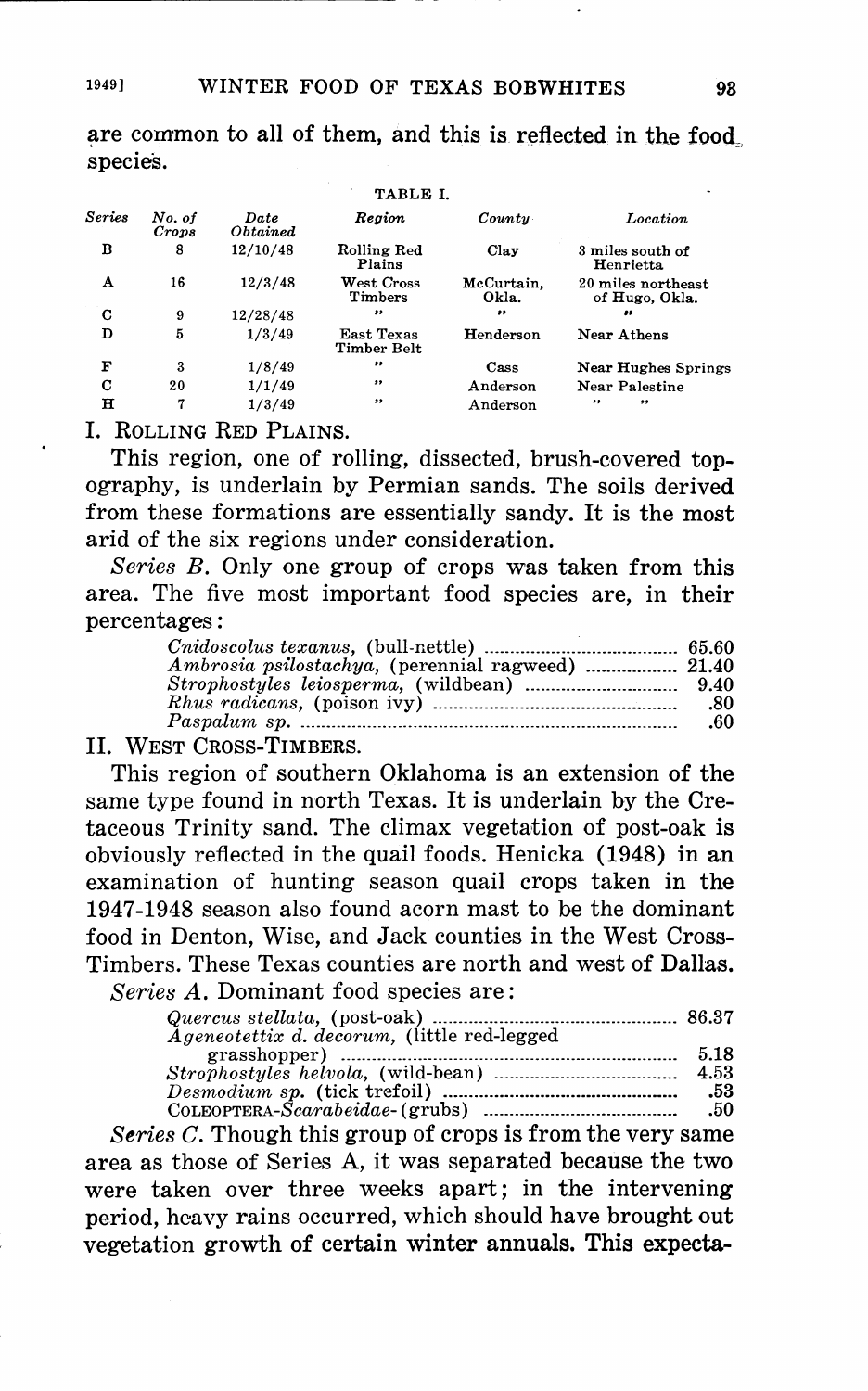are common to all of them, and this is reflected in the food. species.

|               |                 |                         | TABLE I.                       |                     |                                      |
|---------------|-----------------|-------------------------|--------------------------------|---------------------|--------------------------------------|
| <b>Series</b> | No. of<br>Crops | Date<br><i>Obtained</i> | Region                         | Countu              | Location                             |
| в             | 8               | 12/10/48                | Rolling Red<br>Plains          | Clay                | 3 miles south of<br>Henrietta        |
| A             | 16              | 12/3/48                 | ${\bf West\ Cross}$<br>Timbers | McCurtain.<br>Okla. | 20 miles northeast<br>of Hugo, Okla. |
| C             | 9               | 12/28/48                | $^{\bullet}$                   | ,,                  | .,                                   |
| D             | 5               | 1/3/49                  | East Texas<br>Timber Belt      | Henderson           | Near Athens                          |
| F             | 3               | 1/8/49                  | $^{\bullet\bullet}$            | Cass                | Near Hughes Springs                  |
| С             | 20              | 1/1/49                  | ,,                             | Anderson            | Near Palestine                       |
| $\mathbf H$   | 7               | 1/3/49                  | $^{\prime\prime}$              | Anderson            | , 1<br>, ,                           |
|               |                 |                         |                                |                     |                                      |

I. ROLLING RED PLAINS.

This region, one of rolling, dissected, brush-covered topography, is underlain by Permian sands. The soils derived from these formations are essentially sandy. It is the most arid of the six regions under consideration.

*Series B.* Only one group of crops was taken from this area. The five most important food species are, in their percentages :

| -80 |
|-----|
| .60 |
|     |

II. WEST CROSS-TIMBERS.

This region of southern Oklahoma is an extension of the same type found in north Texas. It is underlain by the Cretaceous Trinity sand. The climax vegetation of post-oak is obviously reflected in the quail foods. Henicka (1948) in an examination of hunting season quail crops taken in the 1947-1948 season also found acorn mast to be the dominant food in Denton, Wise, and Jack counties in the West Cross-Timbers. These Texas counties are north and west of Dallas. *Series A.* Dominant food species are:

| <i>Ageneotettix d. decorum, (little red-legged</i> ) | 5.18 |
|------------------------------------------------------|------|
|                                                      | 4.53 |
|                                                      | -53  |
|                                                      | .50  |

*Series C.* Though this group of crops is from the very same area as those of Series A, it was separated because the two were taken over three weeks apart; in the intervening period, heavy rains occurred, which should have brought out vegetation growth of certain winter annuals. This expecta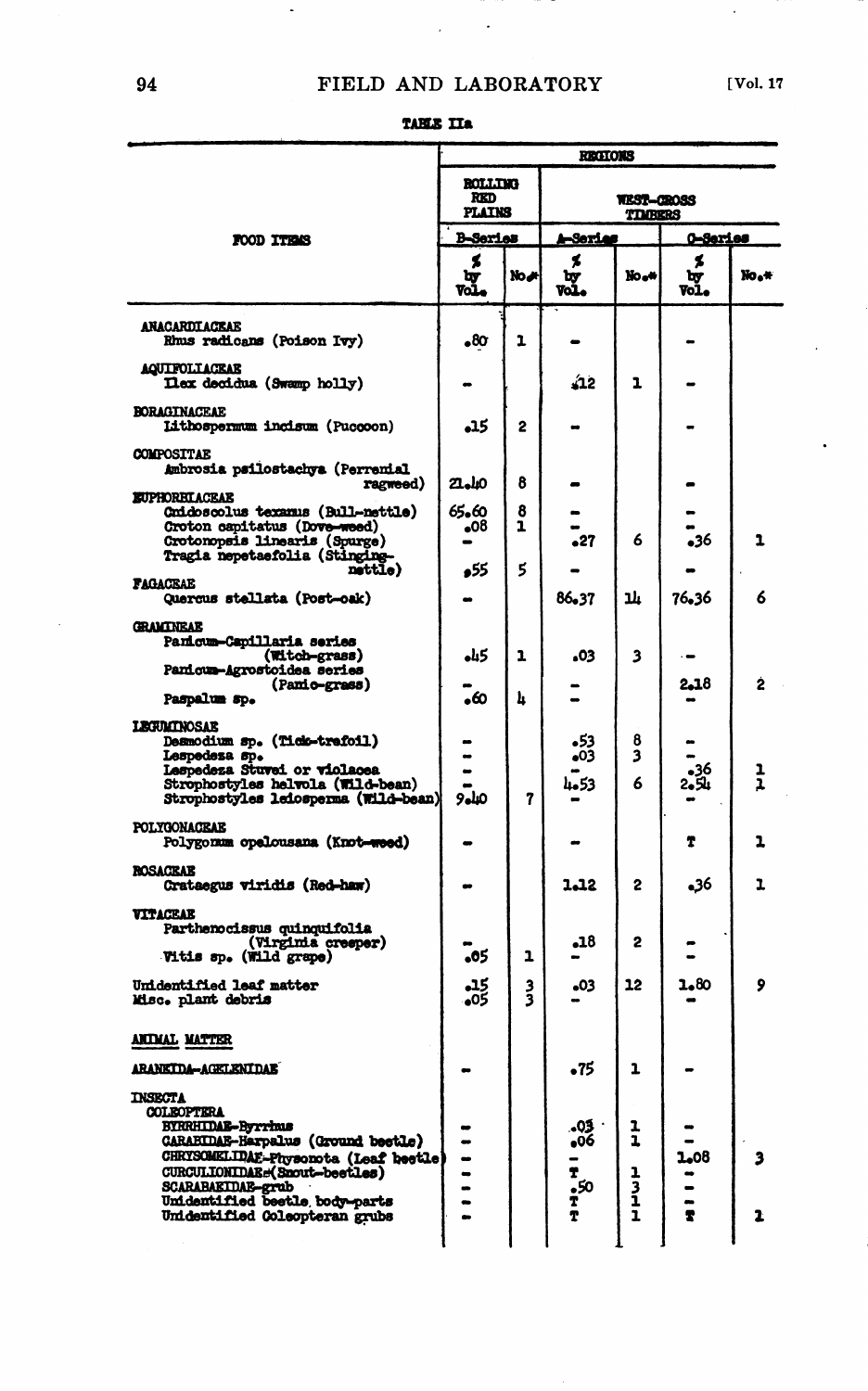$\mathcal{L}_{\text{max}}$  ,  $\mathcal{L}_{\text{max}}$ 

 $\overline{\phantom{a}}$ 

| ١.<br>п<br>т.<br>o | т |
|--------------------|---|
|--------------------|---|

|                                                                                    | <b>REGIONS</b>        |               |                       |             |                 |                             |  |
|------------------------------------------------------------------------------------|-----------------------|---------------|-----------------------|-------------|-----------------|-----------------------------|--|
|                                                                                    | <b>ROLLTNG</b><br>RKD |               |                       |             |                 |                             |  |
|                                                                                    | <b>PLATNS</b>         |               | <b>TIMBERS</b>        |             |                 |                             |  |
| FOOD ITEMS                                                                         | <b>B-Series</b>       |               | 1 <del>-</del> Serias |             | <u>0-Series</u> |                             |  |
|                                                                                    | ۶<br>৳y<br>Vol        | No J          | ۶<br>्<br>जन्म        | No.*        | ۶<br>৮<br>Vol.  | $\text{No}_\bullet\text{+}$ |  |
| ANACARDIACEAE<br>Rhus radicans (Poison Ivy)                                        | 8٥.                   | ı             |                       |             |                 |                             |  |
| <b>AQUIFOLIAGEAE</b><br>Dex decidus (Swamp holly)                                  |                       |               | 22ءَ                  | ı           |                 |                             |  |
| <b>BORAGINACEAE</b><br>Lithospermum incisum (Puccoon)                              | .15                   | 2             |                       |             |                 |                             |  |
| <b>COMPOSITAE</b><br>Ambrosia psilostachya (Perrenial<br>ragweed)                  | 21.40                 | 8             |                       |             |                 |                             |  |
| <b>EUPHORBIACEAE</b><br>Cmidoscolus texamus (Bull-nettle)                          | 65.60                 | 8             |                       |             |                 |                             |  |
| Croton capitatus (Dove-weed)                                                       | 08ء                   | ı             |                       |             |                 |                             |  |
| Crotonopsis linearis (Spurge)<br>Tragia nepetaefolia (Stinging                     |                       |               | 27ء                   | 6           | 36ء             | 1                           |  |
| nattie)<br><b>FAGACEAE</b>                                                         | 55ء                   | 5             |                       |             |                 |                             |  |
| Quercus stellata (Post-oak)                                                        |                       |               | 86.37                 | ıĿ          | 76.36           | 6                           |  |
| <b>GRAMTNEAE</b>                                                                   |                       |               |                       |             |                 |                             |  |
| Panicum-Capillaria series<br>(Witch-grass)                                         | كبله                  | ı             | 03ء                   | 3           |                 |                             |  |
| Panicum-Agrostoidea series<br>(Panio-grass)                                        |                       |               |                       |             | 2.18            | 2                           |  |
| Paspalum sp.                                                                       | ه.                    | h             |                       |             |                 |                             |  |
| <b>LEGULANOSAE</b>                                                                 |                       |               |                       |             |                 |                             |  |
| Desmodium sp. (Tick-trafoil)<br>Lespedesa sp.                                      |                       |               | 53ء<br>03             | 8<br>3      |                 |                             |  |
| Lespedeza Stuvei or violacea<br>Strophostyles helvola (Wild-bean)                  |                       |               | 4.53                  | 6           | 36ء<br>بلاوي    | ı                           |  |
| Strophostyles leiosperma (Wild-bean)                                               | ملوو                  | 7             |                       |             |                 |                             |  |
| <b>POLYCONACKAK</b><br>Polygonum opelousana (Knot-weed)                            |                       |               |                       |             | T               | ı                           |  |
| <b>ROSACEAE</b><br>Crataegus viridis (Red-haw)                                     |                       |               | 1.12                  | 2           | 36ه             | ı                           |  |
| VITACEAE<br>Parthenocissus quinquifolia                                            |                       |               |                       |             |                 |                             |  |
| (Virginia cresper)<br>Vitis sp. (Wild grape)                                       | 05ء                   | 1             | 18ء                   | 2           |                 |                             |  |
| <b>Unidentified leaf matter</b><br>Misc. plant debris                              | -15<br>-05            | $\frac{3}{3}$ | 03ء                   | 12          | 1.80            | 9                           |  |
| <u>ANTMAL MATTER</u>                                                               |                       |               |                       |             |                 |                             |  |
| <b>ARANKIDA-AGKLKNIDAB</b>                                                         |                       |               | •75                   | ı           |                 |                             |  |
| <b>INSECTA</b>                                                                     |                       |               |                       |             |                 |                             |  |
| <b>COLEOPTERA</b><br><b>BYRRHIDAE-Byrrhus</b>                                      |                       |               | .03                   | 1           |                 |                             |  |
| <b>CARABIDAE-Harpalus (Ground beetle)</b><br>CHRYSOMELIDAE-Physonota (Leaf beetle) |                       |               | 06ء                   | ı           | 1.08            |                             |  |
| CURCULIONIDAE:(Snout-beetles)                                                      |                       |               | T                     |             |                 |                             |  |
| SCARABAEIDAE-grub<br>Unidentified bestle body-parts                                |                       |               | $^{50}_{1}$           | 1<br>3<br>1 |                 |                             |  |
| Unidentified Coleopteran grubs                                                     |                       |               | T                     | ı           | 7               |                             |  |
|                                                                                    |                       |               |                       |             |                 |                             |  |

man sa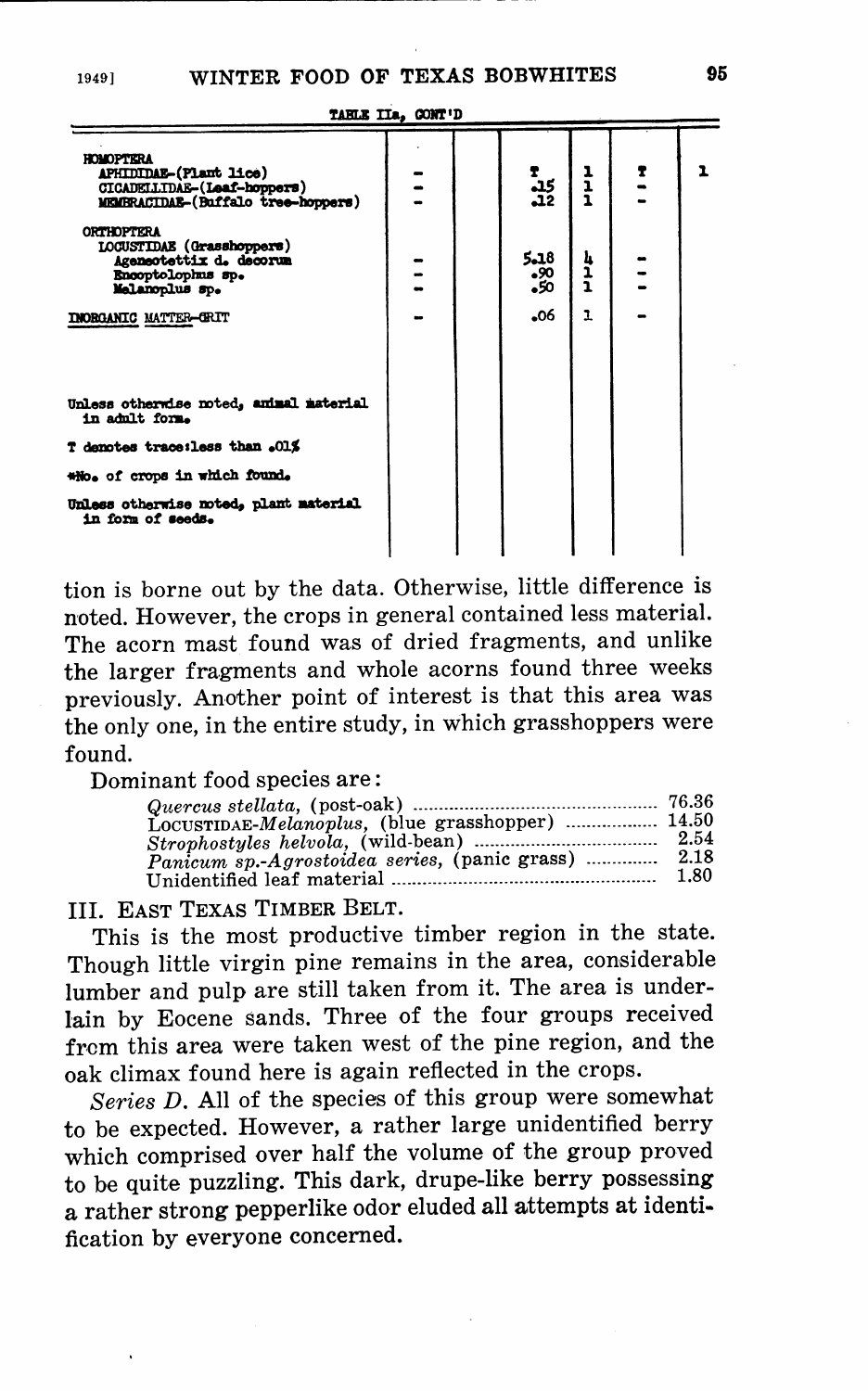| <b>HOMOPTERA</b><br>APHIDIDAE-(Plant lice)<br>CICADELLIDAE-(Leaf-hoppers)<br>MEMBRACIDAE-(Buffalo tree-hoppers)  |  | $\frac{15}{12}$                | 1<br>1<br>1  | $\ddot{z}$ |  |
|------------------------------------------------------------------------------------------------------------------|--|--------------------------------|--------------|------------|--|
| <b>ORTHOPTERA</b><br>LOCUSTIDAE (Grasshoppers)<br>Ageneotettix d. decorum<br>Encoptolophus sp.<br>Melanoplus sp. |  | 5.18<br>.90<br>50 <sub>o</sub> | ムーー          |            |  |
| <b>INORGANIC MATTER-GRIT</b>                                                                                     |  | -06                            | $\mathbf{L}$ |            |  |
| Unless otherwise noted, amimal material<br>in admlt form.                                                        |  |                                |              |            |  |
| T denotes trace:less than .01%                                                                                   |  |                                |              |            |  |
| *No. of crops in which found.                                                                                    |  |                                |              |            |  |
| Unless otherwise noted, plant material<br>in form of seeds.                                                      |  |                                |              |            |  |

TABLE IIa, CONT'D

tion is borne out by the data. Otherwise, little difference is noted. However, the crops in general contained less material. The acorn mast found was of dried fragments, and unlike the larger fragments and whole acorns found three weeks previously. Another point of interest is that this area was the only one, in the entire study, in which grasshoppers were found.

Dominant food species are:

| LOCUSTIDAE-Melanoplus, (blue grasshopper)  14.50 |      |
|--------------------------------------------------|------|
|                                                  |      |
| Panicum sp.-Agrostoidea series, (panic grass)    | 2.18 |
|                                                  | 1.80 |

III. EAST TEXAS TIMBER BELT.

This is the most productive timber region in the state. Though little virgin pine remains in the area, considerable lumber and pulp are still taken from it. The area is underlain by Eocene sands. Three of the four groups received from this area were taken west of the pine region, and the oak climax found here is again reflected in the crops.

Series D. All of the species of this group were somewhat to be expected. However, a rather large unidentified berry which comprised over half the volume of the group proved to be quite puzzling. This dark, drupe-like berry possessing a rather strong pepperlike odor eluded all attempts at identification by everyone concerned.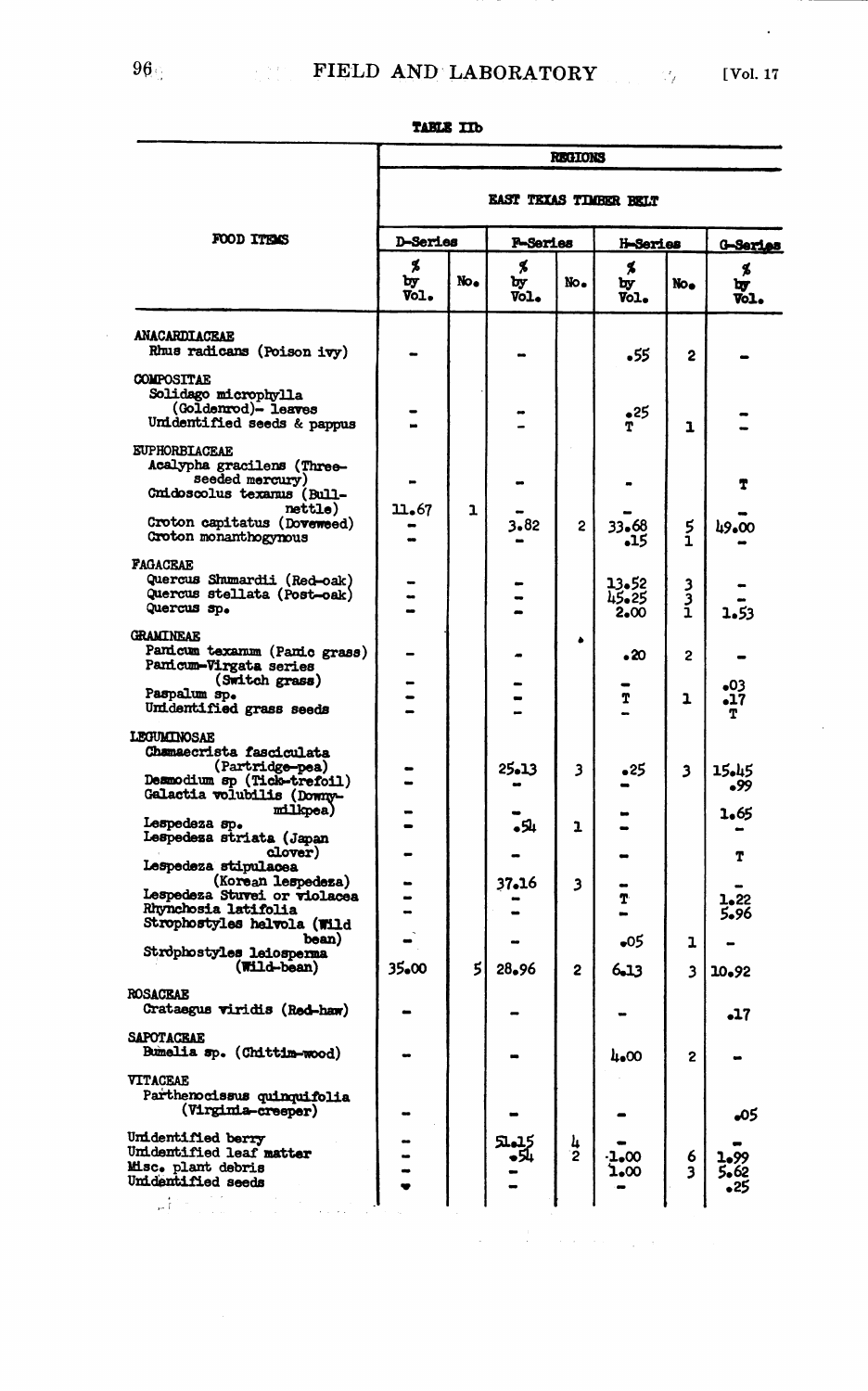$\bullet$ 

|                                                                                                                         | <b>REGIONS</b>                |                 |                  |               |                        |             |                   |  |  |  |
|-------------------------------------------------------------------------------------------------------------------------|-------------------------------|-----------------|------------------|---------------|------------------------|-------------|-------------------|--|--|--|
|                                                                                                                         | <b>EAST TEXAS TIMBER BELT</b> |                 |                  |               |                        |             |                   |  |  |  |
| <b>FOOD ITEMS</b>                                                                                                       | <b>D-Series</b>               |                 | <b>F-Series</b>  |               | H-Series               |             | G-Series          |  |  |  |
|                                                                                                                         | Х<br>Ъy<br>Vol.               | No <sub>o</sub> | \$<br>Ъy<br>Vol. | No.           | \$<br>by<br>Vol.       | No.         | \$<br>۱v<br>vоl.  |  |  |  |
| <b>ANACARDIACEAE</b><br>Rhus radicans (Poison ivy)                                                                      |                               |                 |                  |               | 55ء                    | 2           |                   |  |  |  |
| <b>COMPOSITAE</b><br>Solidago microphylla<br>(Goldenrod)- leaves<br>Unidentified seeds & pappus                         |                               |                 |                  |               | 25ء<br>T               | ı           |                   |  |  |  |
| <b>EUPHORBLACEAE</b><br>Acalypha gracilens (Three-<br>seeded mercury)<br>Cmidoscolus texanus (Bull-                     |                               |                 |                  |               |                        |             | T                 |  |  |  |
| nettle)<br>Croton capitatus (Doveweed)<br>Groton monanthogynous                                                         | 11.67                         | ı               | 3.82             | 2             | 33.68<br>-15           | 5<br>í      | 49.00             |  |  |  |
| <b>FAGACEAE</b><br>Quercus Shumardii (Red-oak)<br>Quercus stellata (Post-oak)<br>Quercus sp.                            |                               |                 |                  |               | 13.52<br>45.25<br>2.00 | 3<br>3<br>1 | 1.53              |  |  |  |
| <b>GRAMINEAR</b><br>Panicum texamum (Panic grass)<br>Pamicum-Virgata series                                             |                               |                 |                  | ۵             | $\cdot 20$             | 2           |                   |  |  |  |
| (Switch grass)<br>Paspalum sp.<br>Unidentified grass seeds                                                              |                               |                 |                  |               | T                      | ı           | $-03$<br>17ء<br>т |  |  |  |
| LEGUMINOSAE<br>Chamaecrista fasciculata<br>(Partridge-pea)<br>Desmodium sp (Tick-trefoil)<br>Galactia volubilis (Downy- |                               |                 | 25.13            | з             | 25ء                    | 3           | 15.45<br>99ء      |  |  |  |
| milkpea)<br>Lespedeza sp.<br>Lespedesa striata (Japan<br>clover)                                                        |                               |                 | ىلاھ             | ı             |                        |             | 1.65              |  |  |  |
| Lespedeza stipulacea<br>(Korean lespedeza)<br>Lespedeza Stuvei or violacea                                              |                               |                 | 37.16            | з             | Ť.                     |             | T<br>ļ.22         |  |  |  |
| Rhynchosia latifolia<br>Strophostyles helvola (Wild<br>bean)                                                            |                               |                 |                  |               | 05ء                    | ı           | 5.96              |  |  |  |
| Strophostyles leiosperma<br>(Wild-bean)                                                                                 | 35.00                         | 5               | 28.96            | 2             | 6.13                   | 3           | 10.92             |  |  |  |
| <b>ROSACEAE</b><br>Crataegus viridis (Red-haw)                                                                          |                               |                 |                  |               |                        |             | 17ء               |  |  |  |
| <b>SAPOTACEAE</b><br>Bumelia sp. (Chittim-wood)                                                                         |                               |                 |                  |               | 4.00                   | 2           |                   |  |  |  |
| <b>VITACEAE</b><br>Parthenocissus quinquifolia<br>(Virgimia-creeper)                                                    |                               |                 |                  |               |                        |             | 05ء               |  |  |  |
| Unidentified berry<br>Unidentified leaf matter<br>Misc. plant debris<br>Unidentified seeds                              |                               |                 | کی پر<br>پاره    | $\frac{1}{2}$ | 1,00<br>1.00           | 6<br>3      |                   |  |  |  |

| <b>TABLE ITD</b> |  |
|------------------|--|
|------------------|--|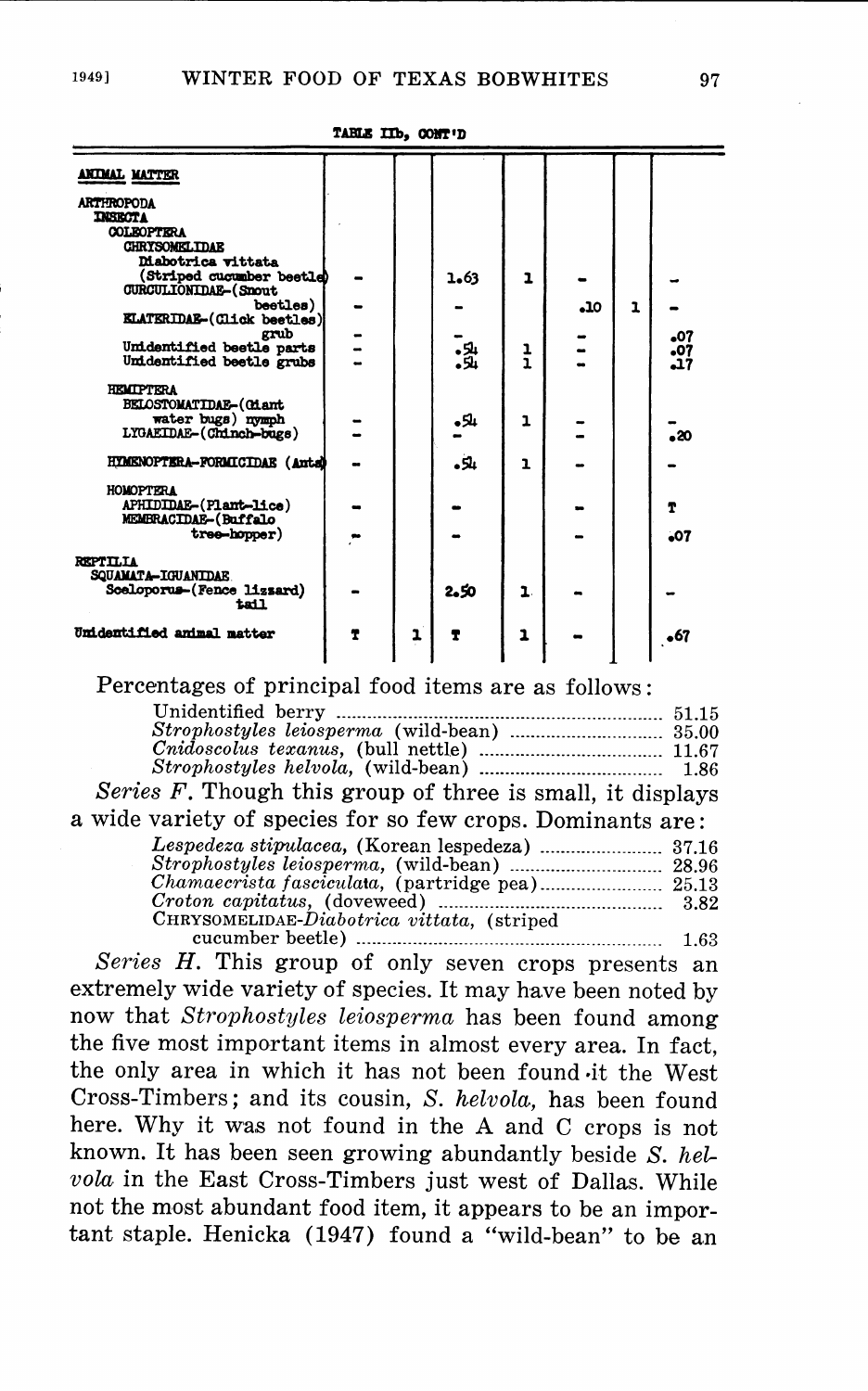$\mathbf{a}$ 

| <b>ANTMAL MATTER</b>                                     |                |   |          |               |     |   |       |
|----------------------------------------------------------|----------------|---|----------|---------------|-----|---|-------|
| <b>ARTHROPODA</b>                                        |                |   |          |               |     |   |       |
| <b>DISECTA</b>                                           |                |   |          |               |     |   |       |
| <b>COLEOPTERA</b>                                        |                |   |          |               |     |   |       |
| <b>CHRYSOMKLTDAR</b>                                     |                |   |          |               |     |   |       |
| <b>Mabotrica</b> vittata                                 |                |   |          |               |     |   |       |
| (Striped cucumber beetle)<br><b>CURCULIONIDAE-(Snout</b> |                |   | 1.63     | 1             |     |   |       |
| beetles)                                                 |                |   |          |               | 10ء | ı |       |
| <b>KLATERIDAE-(Click beetles)</b>                        |                |   |          |               |     |   |       |
| grub                                                     |                |   |          |               |     |   | 07ء   |
| Unidentified beetle parts                                | $\overline{a}$ |   | .와<br>.와 | $\frac{1}{1}$ |     |   | 07ء   |
| Unidentified beetle grubs                                |                |   |          |               |     |   | 17ء   |
| <b>HEMIPTERA</b>                                         |                |   |          |               |     |   |       |
| <b>BELOSTOMATIDAE-(Giant</b>                             |                |   |          |               |     |   |       |
| water bugs) nymph                                        |                |   | باكوه    | ı             |     |   |       |
| LYGAEIDAE-(Chinch-bugs)                                  |                |   |          |               |     |   | - 20  |
|                                                          |                |   |          |               |     |   |       |
| HYMENOPTERA-FORMICIDAE (Anta)                            |                |   | ىلاە     | ı             |     |   |       |
| <b>HOMOPTERA</b>                                         |                |   |          |               |     |   |       |
| APHIDIDAE-(Plant-lice)                                   |                |   |          |               |     |   | т     |
| MEMBRACIDAE-(Buffalo                                     |                |   |          |               |     |   |       |
| tree-hopper)                                             |                |   |          |               |     |   | $-07$ |
| REPTILIA                                                 |                |   |          |               |     |   |       |
| SQUAMATA-IGUANIDAE                                       |                |   |          |               |     |   |       |
| Sceloporus-(Fence lizzard)                               |                |   | 2,50     | 1.            |     |   |       |
| tail                                                     |                |   |          |               |     |   |       |
| Unidentified animal matter                               |                |   |          |               |     |   |       |
|                                                          | T              | ı |          | 1             |     |   | •67   |
|                                                          |                |   |          |               |     |   |       |

#### TARLE IIb, CONT'D

# Percentages of principal food items are as follows:

|                                                            | 51.15 |
|------------------------------------------------------------|-------|
|                                                            |       |
|                                                            |       |
|                                                            |       |
| Series F. Though this group of three is small, it displays |       |
| wide variety of species for so few crops. Dominants are:   |       |
|                                                            | 37.16 |
|                                                            |       |
| Chamaecrista fasciculata, (partridge pea) 25.13            |       |
|                                                            | 3.82  |
| CHRYSOMELIDAE-Diabotrica vittata, (striped                 |       |
| cucumber beetle)                                           | 1.63  |
|                                                            |       |

Series H. This group of only seven crops presents an extremely wide variety of species. It may have been noted by now that Strophostyles leiosperma has been found among the five most important items in almost every area. In fact, the only area in which it has not been found it the West Cross-Timbers; and its cousin, S. helvola, has been found here. Why it was not found in the A and C crops is not known. It has been seen growing abundantly beside  $S.$  helvola in the East Cross-Timbers just west of Dallas. While not the most abundant food item, it appears to be an important staple. Henicka (1947) found a "wild-bean" to be an